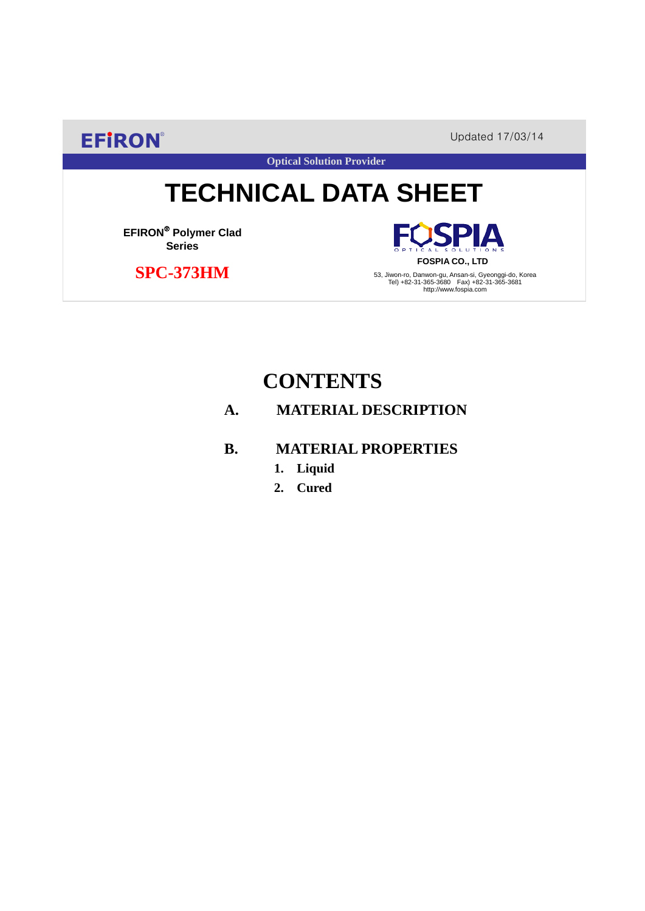**EFIRON®** Updated 17/03/14

# **TECHNICAL DATA SHEET**

**Optical Solution Provider**

**EFIRON**® **Polymer Clad Series**

 **SPC-373HM**

**FOSPIA CO., LTD** 53, Jiwon-ro, Danwon-gu, Ansan-si, Gyeonggi-do, Korea Tel) +82-31-365-3680 Fax) +82-31-365-3681 http://www.fospia.com

PIA

## **CONTENTS**

## **A. MATERIAL DESCRIPTION**

### **B. MATERIAL PROPERTIES**

- **1. Liquid**
- **2. Cured**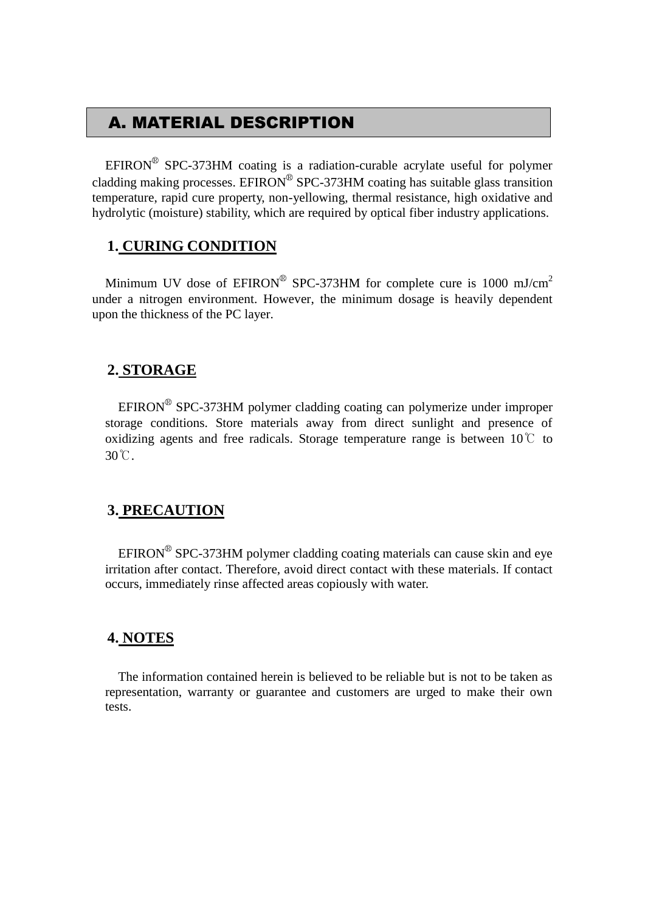## A. MATERIAL DESCRIPTION

EFIRON<sup>®</sup> SPC-373HM coating is a radiation-curable acrylate useful for polymer cladding making processes. EFIRON<sup>®</sup> SPC-373HM coating has suitable glass transition temperature, rapid cure property, non-yellowing, thermal resistance, high oxidative and hydrolytic (moisture) stability, which are required by optical fiber industry applications.

#### **1. CURING CONDITION**

Minimum UV dose of  $EPIRON^{\circledR}$  SPC-373HM for complete cure is 1000 mJ/cm<sup>2</sup> under a nitrogen environment. However, the minimum dosage is heavily dependent upon the thickness of the PC layer.

#### **2. STORAGE**

EFIRON<sup>®</sup> SPC-373HM polymer cladding coating can polymerize under improper storage conditions. Store materials away from direct sunlight and presence of oxidizing agents and free radicals. Storage temperature range is between  $10^{\circ}$  to 30℃.

#### **3. PRECAUTION**

 $EFINON^{\circledR}$  SPC-373HM polymer cladding coating materials can cause skin and eye irritation after contact. Therefore, avoid direct contact with these materials. If contact occurs, immediately rinse affected areas copiously with water.

#### **4. NOTES**

The information contained herein is believed to be reliable but is not to be taken as representation, warranty or guarantee and customers are urged to make their own tests.